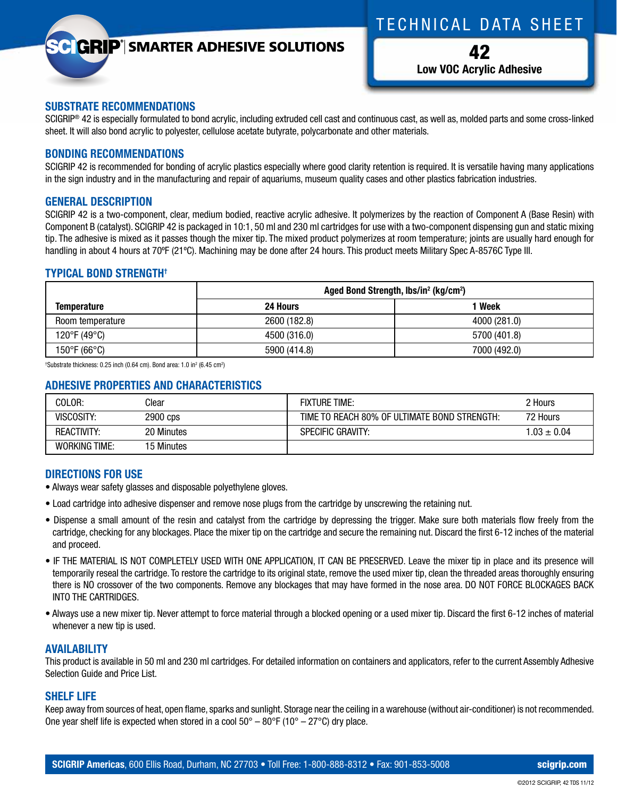# TECHNICAL DATA SHEET

## **GRIP**<sup>®</sup> SMARTER ADHESIVE SOLUTIONS

42 **Low VOC Acrylic Adhesive**

#### **SUBSTRATE RECOMMENDATIONS**

SCIGRIP<sup>®</sup> 42 is especially formulated to bond acrylic, including extruded cell cast and continuous cast, as well as, molded parts and some cross-linked sheet. It will also bond acrylic to polyester, cellulose acetate butyrate, polycarbonate and other materials.

#### **BONDING RECOMMENDATIONS**

SCIGRIP 42 is recommended for bonding of acrylic plastics especially where good clarity retention is required. It is versatile having many applications in the sign industry and in the manufacturing and repair of aquariums, museum quality cases and other plastics fabrication industries.

#### **GENERAL DESCRIPTION**

SCIGRIP 42 is a two-component, clear, medium bodied, reactive acrylic adhesive. It polymerizes by the reaction of Component A (Base Resin) with Component B (catalyst). SCIGRIP 42 is packaged in 10:1, 50 ml and 230 ml cartridges for use with a two-component dispensing gun and static mixing tip. The adhesive is mixed as it passes though the mixer tip. The mixed product polymerizes at room temperature; joints are usually hard enough for handling in about 4 hours at 70ºF (21ºC). Machining may be done after 24 hours. This product meets Military Spec A-8576C Type III.

## **TYPICAL BOND STRENGTH†**

|                    | Aged Bond Strength, lbs/in <sup>2</sup> (kg/cm <sup>2</sup> ) |              |  |
|--------------------|---------------------------------------------------------------|--------------|--|
| <b>Temperature</b> | 24 Hours                                                      | Week         |  |
| Room temperature   | 2600 (182.8)                                                  | 4000 (281.0) |  |
| 120°F (49°C)       | 4500 (316.0)                                                  | 5700 (401.8) |  |
| 150°F (66°C)       | 5900 (414.8)                                                  | 7000 (492.0) |  |

<sup>†</sup>Substrate thickness: 0.25 inch (0.64 cm). Bond area: 1.0 in $^2$  (6.45 cm $^2$ )

## **ADHESIVE PROPERTIES AND CHARACTERISTICS**

| COLOR:               | Clear      | <b>FIXTURE TIME:</b>                         | 2 Hours       |
|----------------------|------------|----------------------------------------------|---------------|
| VISCOSITY:           | 2900 cps   | TIME TO REACH 80% OF ULTIMATE BOND STRENGTH: | 72 Hours      |
| <b>REACTIVITY:</b>   | 20 Minutes | <b>SPECIFIC GRAVITY:</b>                     | $1.03 + 0.04$ |
| <b>WORKING TIME:</b> | 15 Minutes |                                              |               |

## **DIRECTIONS FOR USE**

- Always wear safety glasses and disposable polyethylene gloves.
- Load cartridge into adhesive dispenser and remove nose plugs from the cartridge by unscrewing the retaining nut.
- Dispense a small amount of the resin and catalyst from the cartridge by depressing the trigger. Make sure both materials flow freely from the cartridge, checking for any blockages. Place the mixer tip on the cartridge and secure the remaining nut. Discard the first 6-12 inches of the material and proceed.
- IF THE MATERIAL IS NOT COMPLETELY USED WITH ONE APPLICATION, IT CAN BE PRESERVED. Leave the mixer tip in place and its presence will temporarily reseal the cartridge. To restore the cartridge to its original state, remove the used mixer tip, clean the threaded areas thoroughly ensuring there is NO crossover of the two components. Remove any blockages that may have formed in the nose area. DO NOT FORCE BLOCKAGES BACK INTO THE CARTRIDGES.
- Always use a new mixer tip. Never attempt to force material through a blocked opening or a used mixer tip. Discard the first 6-12 inches of material whenever a new tip is used.

## **AVAILABILITY**

This product is available in 50 ml and 230 ml cartridges. For detailed information on containers and applicators, refer to the current Assembly Adhesive Selection Guide and Price List.

## **SHELF LIFE**

Keep away from sources of heat, open flame, sparks and sunlight. Storage near the ceiling in a warehouse (without air-conditioner) is not recommended. One year shelf life is expected when stored in a cool  $50^{\circ} - 80^{\circ}F$  (10°  $- 27^{\circ}C$ ) dry place.